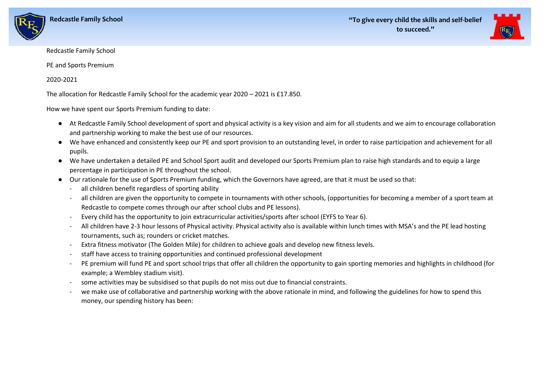



## Redcastle Family School

PE and Sports Premium

## 2020-2021

The allocation for Redcastle Family School for the academic year 2020 – 2021 is £17.850.

How we have spent our Sports Premium funding to date:

- At Redcastle Family School development of sport and physical activity is a key vision and aim for all students and we aim to encourage collaboration and partnership working to make the best use of our resources.
- We have enhanced and consistently keep our PE and sport provision to an outstanding level, in order to raise participation and achievement for all pupils.
- We have undertaken a detailed PE and School Sport audit and developed our Sports Premium plan to raise high standards and to equip a large percentage in participation in PE throughout the school.
- Our rationale for the use of Sports Premium funding, which the Governors have agreed, are that it must be used so that:
	- all children benefit regardless of sporting ability
	- all children are given the opportunity to compete in tournaments with other schools, (opportunities for becoming a member of a sport team at Redcastle to compete comes through our after school clubs and PE lessons).
	- Every child has the opportunity to join extracurricular activities/sports after school (EYFS to Year 6).
	- All children have 2-3 hour lessons of Physical activity. Physical activity also is available within lunch times with MSA's and the PE lead hosting tournaments, such as; rounders or cricket matches.
	- Extra fitness motivator (The Golden Mile) for children to achieve goals and develop new fitness levels.
	- staff have access to training opportunities and continued professional development
	- PE premium will fund PE and sport school trips that offer all children the opportunity to gain sporting memories and highlights in childhood (for example; a Wembley stadium visit).
	- some activities may be subsidised so that pupils do not miss out due to financial constraints.
	- we make use of collaborative and partnership working with the above rationale in mind, and following the guidelines for how to spend this money, our spending history has been: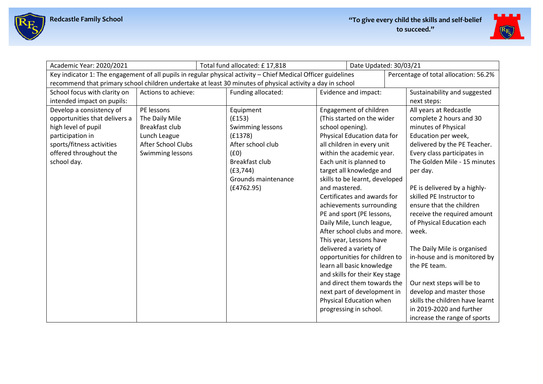



| Academic Year: 2020/2021      |                           | Total fund allocated: £17,818                                                                                 |                                | Date Updated: 30/03/21                |
|-------------------------------|---------------------------|---------------------------------------------------------------------------------------------------------------|--------------------------------|---------------------------------------|
|                               |                           | Key indicator 1: The engagement of all pupils in regular physical activity - Chief Medical Officer guidelines |                                | Percentage of total allocation: 56.2% |
|                               |                           | recommend that primary school children undertake at least 30 minutes of physical activity a day in school     |                                |                                       |
| School focus with clarity on  | Actions to achieve:       | Funding allocated:                                                                                            | Evidence and impact:           | Sustainability and suggested          |
| intended impact on pupils:    |                           |                                                                                                               |                                | next steps:                           |
| Develop a consistency of      | PE lessons                | Equipment                                                                                                     | Engagement of children         | All years at Redcastle                |
| opportunities that delivers a | The Daily Mile            | (f153)                                                                                                        | (This started on the wider     | complete 2 hours and 30               |
| high level of pupil           | Breakfast club            | Swimming lessons                                                                                              | school opening).               | minutes of Physical                   |
| participation in              | Lunch League              | (E1378)                                                                                                       | Physical Education data for    | Education per week,                   |
| sports/fitness activities     | <b>After School Clubs</b> | After school club                                                                                             | all children in every unit     | delivered by the PE Teacher.          |
| offered throughout the        | Swimming lessons          | (f0)                                                                                                          | within the academic year.      | Every class participates in           |
| school day.                   |                           | Breakfast club                                                                                                | Each unit is planned to        | The Golden Mile - 15 minutes          |
|                               |                           | (E3, 744)                                                                                                     | target all knowledge and       | per day.                              |
|                               |                           | Grounds maintenance                                                                                           | skills to be learnt, developed |                                       |
|                               |                           | (E4762.95)                                                                                                    | and mastered.                  | PE is delivered by a highly-          |
|                               |                           |                                                                                                               | Certificates and awards for    | skilled PE Instructor to              |
|                               |                           |                                                                                                               | achievements surrounding       | ensure that the children              |
|                               |                           |                                                                                                               | PE and sport (PE lessons,      | receive the required amount           |
|                               |                           |                                                                                                               | Daily Mile, Lunch league,      | of Physical Education each            |
|                               |                           |                                                                                                               | After school clubs and more.   | week.                                 |
|                               |                           |                                                                                                               | This year, Lessons have        |                                       |
|                               |                           |                                                                                                               | delivered a variety of         | The Daily Mile is organised           |
|                               |                           |                                                                                                               | opportunities for children to  | in-house and is monitored by          |
|                               |                           |                                                                                                               | learn all basic knowledge      | the PE team.                          |
|                               |                           |                                                                                                               | and skills for their Key stage |                                       |
|                               |                           |                                                                                                               | and direct them towards the    | Our next steps will be to             |
|                               |                           |                                                                                                               | next part of development in    | develop and master those              |
|                               |                           |                                                                                                               | Physical Education when        | skills the children have learnt       |
|                               |                           |                                                                                                               | progressing in school.         | in 2019-2020 and further              |
|                               |                           |                                                                                                               |                                | increase the range of sports          |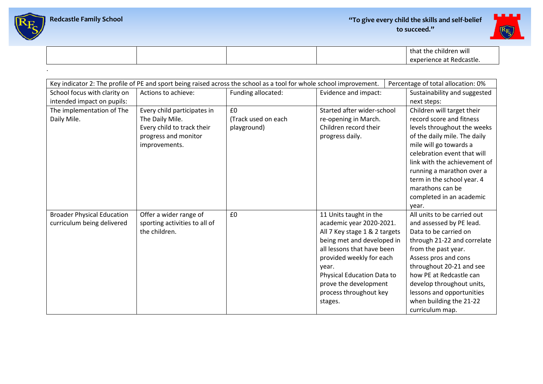



|  |  | that the children will<br>experience at<br>: Redcastle. |
|--|--|---------------------------------------------------------|
|  |  |                                                         |

|                                   |                               | Key indicator 2: The profile of PE and sport being raised across the school as a tool for whole school improvement. |                                   | Percentage of total allocation: 0%                    |
|-----------------------------------|-------------------------------|---------------------------------------------------------------------------------------------------------------------|-----------------------------------|-------------------------------------------------------|
| School focus with clarity on      | Actions to achieve:           | Funding allocated:                                                                                                  | Evidence and impact:              | Sustainability and suggested                          |
| intended impact on pupils:        |                               |                                                                                                                     |                                   | next steps:                                           |
| The implementation of The         | Every child participates in   | £0                                                                                                                  | Started after wider-school        | Children will target their                            |
| Daily Mile.                       | The Daily Mile.               | (Track used on each                                                                                                 | re-opening in March.              | record score and fitness                              |
|                                   | Every child to track their    | playground)                                                                                                         | Children record their             | levels throughout the weeks                           |
|                                   | progress and monitor          |                                                                                                                     | progress daily.                   | of the daily mile. The daily                          |
|                                   | improvements.                 |                                                                                                                     |                                   | mile will go towards a<br>celebration event that will |
|                                   |                               |                                                                                                                     |                                   | link with the achievement of                          |
|                                   |                               |                                                                                                                     |                                   | running a marathon over a                             |
|                                   |                               |                                                                                                                     |                                   | term in the school year. 4                            |
|                                   |                               |                                                                                                                     |                                   | marathons can be                                      |
|                                   |                               |                                                                                                                     |                                   | completed in an academic                              |
|                                   |                               |                                                                                                                     |                                   | year.                                                 |
| <b>Broader Physical Education</b> | Offer a wider range of        | £0                                                                                                                  | 11 Units taught in the            | All units to be carried out                           |
| curriculum being delivered        | sporting activities to all of |                                                                                                                     | academic year 2020-2021.          | and assessed by PE lead.                              |
|                                   | the children.                 |                                                                                                                     | All 7 Key stage 1 & 2 targets     | Data to be carried on                                 |
|                                   |                               |                                                                                                                     | being met and developed in        | through 21-22 and correlate                           |
|                                   |                               |                                                                                                                     | all lessons that have been        | from the past year.                                   |
|                                   |                               |                                                                                                                     | provided weekly for each<br>year. | Assess pros and cons<br>throughout 20-21 and see      |
|                                   |                               |                                                                                                                     | Physical Education Data to        | how PE at Redcastle can                               |
|                                   |                               |                                                                                                                     | prove the development             | develop throughout units,                             |
|                                   |                               |                                                                                                                     | process throughout key            | lessons and opportunities                             |
|                                   |                               |                                                                                                                     | stages.                           | when building the 21-22                               |
|                                   |                               |                                                                                                                     |                                   | curriculum map.                                       |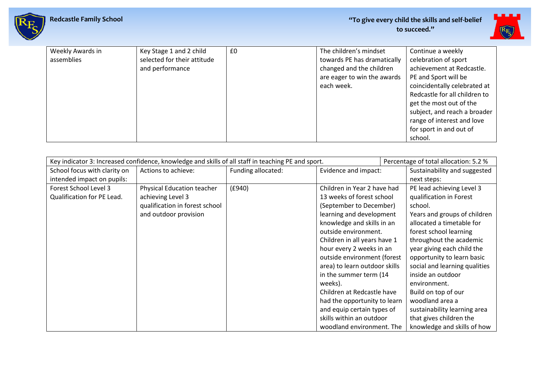

| Weekly Awards in | Key Stage 1 and 2 child     | £0 | The children's mindset      | Continue a weekly             |
|------------------|-----------------------------|----|-----------------------------|-------------------------------|
| assemblies       | selected for their attitude |    | towards PE has dramatically | celebration of sport          |
|                  | and performance             |    | changed and the children    | achievement at Redcastle.     |
|                  |                             |    | are eager to win the awards | PE and Sport will be          |
|                  |                             |    | each week.                  | coincidentally celebrated at  |
|                  |                             |    |                             | Redcastle for all children to |
|                  |                             |    |                             | get the most out of the       |
|                  |                             |    |                             | subject, and reach a broader  |
|                  |                             |    |                             | range of interest and love    |
|                  |                             |    |                             | for sport in and out of       |
|                  |                             |    |                             | school.                       |

| Key indicator 3: Increased confidence, knowledge and skills of all staff in teaching PE and sport. |                                |                    |                               | Percentage of total allocation: 5.2 % |
|----------------------------------------------------------------------------------------------------|--------------------------------|--------------------|-------------------------------|---------------------------------------|
| School focus with clarity on                                                                       | Actions to achieve:            | Funding allocated: | Evidence and impact:          | Sustainability and suggested          |
| intended impact on pupils:                                                                         |                                |                    |                               | next steps:                           |
| Forest School Level 3                                                                              | Physical Education teacher     | (E940)             | Children in Year 2 have had   | PE lead achieving Level 3             |
| Qualification for PE Lead.                                                                         | achieving Level 3              |                    | 13 weeks of forest school     | qualification in Forest               |
|                                                                                                    | qualification in forest school |                    | (September to December)       | school.                               |
|                                                                                                    | and outdoor provision          |                    | learning and development      | Years and groups of children          |
|                                                                                                    |                                |                    | knowledge and skills in an    | allocated a timetable for             |
|                                                                                                    |                                |                    | outside environment.          | forest school learning                |
|                                                                                                    |                                |                    | Children in all years have 1  | throughout the academic               |
|                                                                                                    |                                |                    | hour every 2 weeks in an      | year giving each child the            |
|                                                                                                    |                                |                    | outside environment (forest   | opportunity to learn basic            |
|                                                                                                    |                                |                    | area) to learn outdoor skills | social and learning qualities         |
|                                                                                                    |                                |                    | in the summer term (14        | inside an outdoor                     |
|                                                                                                    |                                |                    | weeks).                       | environment.                          |
|                                                                                                    |                                |                    | Children at Redcastle have    | Build on top of our                   |
|                                                                                                    |                                |                    | had the opportunity to learn  | woodland area a                       |
|                                                                                                    |                                |                    | and equip certain types of    | sustainability learning area          |
|                                                                                                    |                                |                    | skills within an outdoor      | that gives children the               |
|                                                                                                    |                                |                    | woodland environment. The     | knowledge and skills of how           |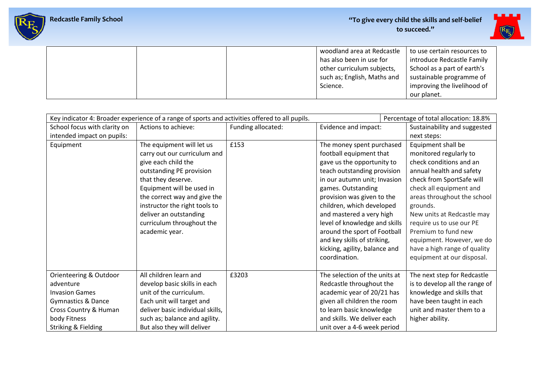

|  | woodland area at Redcastle  | to use certain resources to |
|--|-----------------------------|-----------------------------|
|  | has also been in use for    | introduce Redcastle Family  |
|  | other curriculum subjects,  | School as a part of earth's |
|  | such as; English, Maths and | sustainable programme of    |
|  | Science.                    | improving the livelihood of |
|  |                             | our planet.                 |

|                                                                                                                                                               | Key indicator 4: Broader experience of a range of sports and activities offered to all pupils.                                                                                                                                                                                                            |                    |                                                                                                                                                                                                                                                                                                                                                                                                                  | Percentage of total allocation: 18.8%                                                                                                                                                                                                                                                                                                                                              |
|---------------------------------------------------------------------------------------------------------------------------------------------------------------|-----------------------------------------------------------------------------------------------------------------------------------------------------------------------------------------------------------------------------------------------------------------------------------------------------------|--------------------|------------------------------------------------------------------------------------------------------------------------------------------------------------------------------------------------------------------------------------------------------------------------------------------------------------------------------------------------------------------------------------------------------------------|------------------------------------------------------------------------------------------------------------------------------------------------------------------------------------------------------------------------------------------------------------------------------------------------------------------------------------------------------------------------------------|
| School focus with clarity on                                                                                                                                  | Actions to achieve:                                                                                                                                                                                                                                                                                       | Funding allocated: | Evidence and impact:                                                                                                                                                                                                                                                                                                                                                                                             | Sustainability and suggested                                                                                                                                                                                                                                                                                                                                                       |
| intended impact on pupils:                                                                                                                                    |                                                                                                                                                                                                                                                                                                           |                    |                                                                                                                                                                                                                                                                                                                                                                                                                  | next steps:                                                                                                                                                                                                                                                                                                                                                                        |
| Equipment                                                                                                                                                     | The equipment will let us<br>carry out our curriculum and<br>give each child the<br>outstanding PE provision<br>that they deserve.<br>Equipment will be used in<br>the correct way and give the<br>instructor the right tools to<br>deliver an outstanding<br>curriculum throughout the<br>academic year. | £153               | The money spent purchased<br>football equipment that<br>gave us the opportunity to<br>teach outstanding provision<br>in our autumn unit; Invasion<br>games. Outstanding<br>provision was given to the<br>children, which developed<br>and mastered a very high<br>level of knowledge and skills<br>around the sport of Football<br>and key skills of striking,<br>kicking, agility, balance and<br>coordination. | Equipment shall be<br>monitored regularly to<br>check conditions and an<br>annual health and safety<br>check from SportSafe will<br>check all equipment and<br>areas throughout the school<br>grounds.<br>New units at Redcastle may<br>require us to use our PE<br>Premium to fund new<br>equipment. However, we do<br>have a high range of quality<br>equipment at our disposal. |
| Orienteering & Outdoor<br>adventure<br><b>Invasion Games</b><br><b>Gymnastics &amp; Dance</b><br>Cross Country & Human<br>body Fitness<br>Striking & Fielding | All children learn and<br>develop basic skills in each<br>unit of the curriculum.<br>Each unit will target and<br>deliver basic individual skills,<br>such as; balance and agility.<br>But also they will deliver                                                                                         | £3203              | The selection of the units at<br>Redcastle throughout the<br>academic year of 20/21 has<br>given all children the room<br>to learn basic knowledge<br>and skills. We deliver each<br>unit over a 4-6 week period                                                                                                                                                                                                 | The next step for Redcastle<br>is to develop all the range of<br>knowledge and skills that<br>have been taught in each<br>unit and master them to a<br>higher ability.                                                                                                                                                                                                             |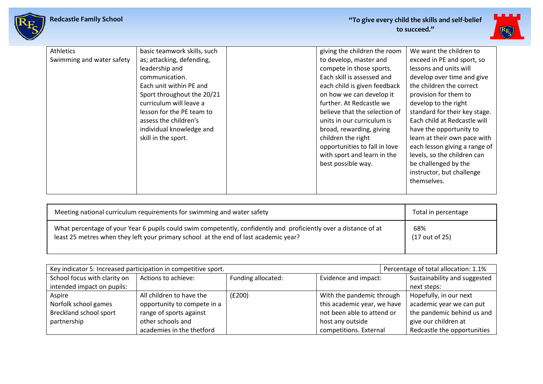



| <b>Athletics</b>          | basic teamwork skills, such | giving the children the room  | We want the children to       |
|---------------------------|-----------------------------|-------------------------------|-------------------------------|
| Swimming and water safety | as; attacking, defending,   | to develop, master and        | exceed in PE and sport, so    |
|                           | leadership and              | compete in those sports.      | lessons and units will        |
|                           | communication.              | Each skill is assessed and    | develop over time and give    |
|                           | Each unit within PE and     | each child is given feedback  | the children the correct      |
|                           | Sport throughout the 20/21  | on how we can develop it      | provision for them to         |
|                           | curriculum will leave a     | further. At Redcastle we      | develop to the right          |
|                           | lesson for the PE team to   | believe that the selection of | standard for their key stage. |
|                           | assess the children's       | units in our curriculum is    | Each child at Redcastle will  |
|                           | individual knowledge and    | broad, rewarding, giving      | have the opportunity to       |
|                           | skill in the sport.         | children the right            | learn at their own pace with  |
|                           |                             | opportunities to fall in love | each lesson giving a range of |
|                           |                             | with sport and learn in the   | levels, so the children can   |
|                           |                             | best possible way.            | be challenged by the          |
|                           |                             |                               | instructor, but challenge     |
|                           |                             |                               | themselves.                   |
|                           |                             |                               |                               |

| Meeting national curriculum requirements for swimming and water safety                                           | Total in percentage |
|------------------------------------------------------------------------------------------------------------------|---------------------|
| What percentage of your Year 6 pupils could swim competently, confidently and proficiently over a distance of at | 68%                 |
| least 25 metres when they left your primary school at the end of last academic year?                             | (17 out of 25)      |

| Key indicator 5: Increased participation in competitive sport. |                             |                    |                             |  | Percentage of total allocation: 1.1% |
|----------------------------------------------------------------|-----------------------------|--------------------|-----------------------------|--|--------------------------------------|
| School focus with clarity on                                   | Actions to achieve:         | Funding allocated: | Evidence and impact:        |  | Sustainability and suggested         |
| intended impact on pupils:                                     |                             |                    |                             |  | next steps:                          |
| Aspire                                                         | All children to have the    | (E200)             | With the pandemic through   |  | Hopefully, in our next               |
| Norfolk school games                                           | opportunity to compete in a |                    | this academic year, we have |  | academic year we can put             |
| Breckland school sport                                         | range of sports against     |                    | not been able to attend or  |  | the pandemic behind us and           |
| partnership                                                    | other schools and           |                    | host any outside            |  | give our children at                 |
|                                                                | academies in the thetford   |                    | competitions. External      |  | Redcastle the opportunities          |